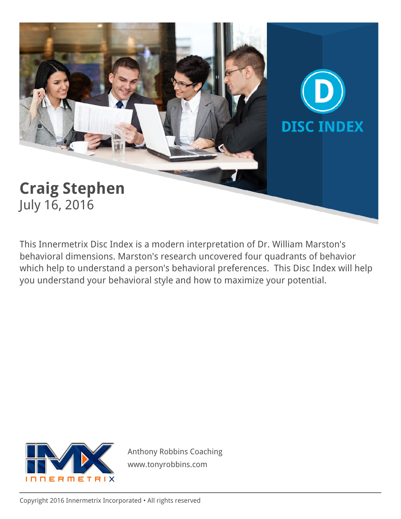# **Craig Stephen** July 16, 2016

This Innermetrix Disc Index is a modern interpretation of Dr. William Marston's behavioral dimensions. Marston's research uncovered four quadrants of behavior which help to understand a person's behavioral preferences. This Disc Index will help you understand your behavioral style and how to maximize your potential.

**DISC INDEX** 



Anthony Robbins Coaching www.tonyrobbins.com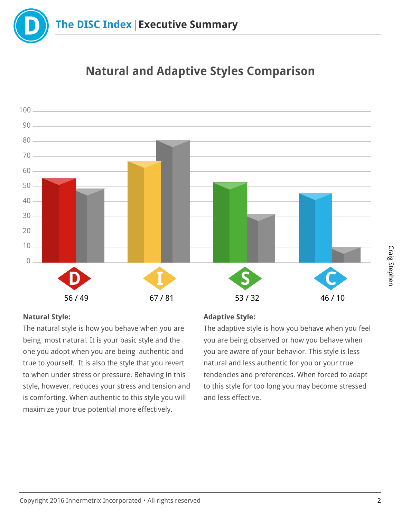



## **Natural and Adaptive Styles Comparison**

#### **Natural Style:**

The natural style is how you behave when you are being most natural. It is your basic style and the one you adopt when you are being authentic and true to yourself. It is also the style that you revert to when under stress or pressure. Behaving in this style, however, reduces your stress and tension and is comforting. When authentic to this style you will maximize your true potential more effectively.

#### **Adaptive Style:**

The adaptive style is how you behave when you feel you are being observed or how you behave when you are aware of your behavior. This style is less natural and less authentic for you or your true tendencies and preferences. When forced to adapt to this style for too long you may become stressed and less effective.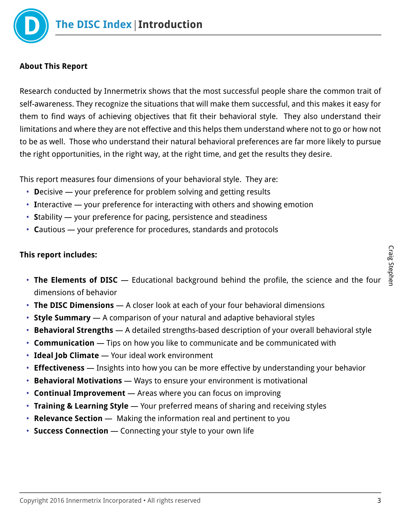

### **About This Report**

Research conducted by Innermetrix shows that the most successful people share the common trait of self-awareness. They recognize the situations that will make them successful, and this makes it easy for them to find ways of achieving objectives that fit their behavioral style. They also understand their limitations and where they are not effective and this helps them understand where not to go or how not to be as well. Those who understand their natural behavioral preferences are far more likely to pursue the right opportunities, in the right way, at the right time, and get the results they desire.

This report measures four dimensions of your behavioral style. They are:

- **D**ecisive your preference for problem solving and getting results
- **I**nteractive your preference for interacting with others and showing emotion
- **S**tability your preference for pacing, persistence and steadiness
- **C**autious your preference for procedures, standards and protocols

#### **This report includes:**

- **The Elements of DISC** Educational background behind the profile, the science and the four dimensions of behavior
- **The DISC Dimensions** A closer look at each of your four behavioral dimensions
- **Style Summary** A comparison of your natural and adaptive behavioral styles
- **Behavioral Strengths** A detailed strengths-based description of your overall behavioral style
- **Communication** Tips on how you like to communicate and be communicated with
- **Ideal Job Climate** Your ideal work environment
- **Effectiveness** Insights into how you can be more effective by understanding your behavior
- **Behavioral Motivations** Ways to ensure your environment is motivational
- **Continual Improvement** Areas where you can focus on improving
- **Training & Learning Style** Your preferred means of sharing and receiving styles
- **Relevance Section** Making the information real and pertinent to you
- **Success Connection** Connecting your style to your own life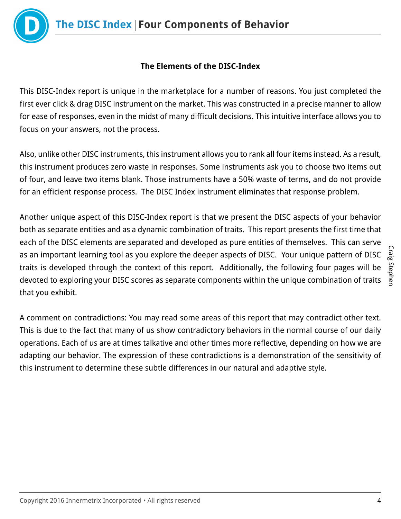

## **The Elements of the DISC-Index**

This DISC-Index report is unique in the marketplace for a number of reasons. You just completed the first ever click & drag DISC instrument on the market. This was constructed in a precise manner to allow for ease of responses, even in the midst of many difficult decisions. This intuitive interface allows you to focus on your answers, not the process.

Also, unlike other DISC instruments, this instrument allows you to rank all four items instead. As a result, this instrument produces zero waste in responses. Some instruments ask you to choose two items out of four, and leave two items blank. Those instruments have a 50% waste of terms, and do not provide for an efficient response process. The DISC Index instrument eliminates that response problem.

Another unique aspect of this DISC-Index report is that we present the DISC aspects of your behavior both as separate entities and as a dynamic combination of traits. This report presents the first time that each of the DISC elements are separated and developed as pure entities of themselves. This can serve as an important learning tool as you explore the deeper aspects of DISC. Your unique pattern of DISC traits is developed through the context of this report. Additionally, the following four pages will be devoted to exploring your DISC scores as separate components within the unique combination of traits that you exhibit.

A comment on contradictions: You may read some areas of this report that may contradict other text. This is due to the fact that many of us show contradictory behaviors in the normal course of our daily operations. Each of us are at times talkative and other times more reflective, depending on how we are adapting our behavior. The expression of these contradictions is a demonstration of the sensitivity of this instrument to determine these subtle differences in our natural and adaptive style.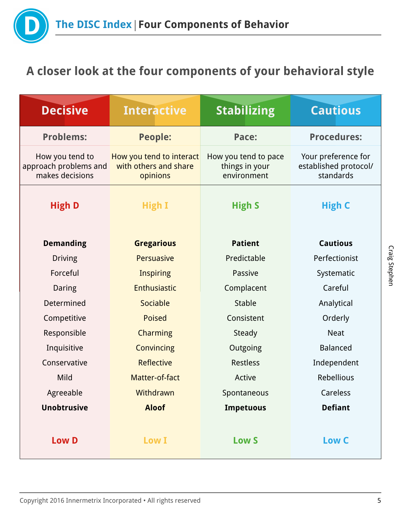

## **A closer look at the four components of your behavioral style**

| <b>Decisive</b>                                             | <b>Interactive</b>                                            | <b>Stabilizing</b>                                    | <b>Cautious</b>                                           |
|-------------------------------------------------------------|---------------------------------------------------------------|-------------------------------------------------------|-----------------------------------------------------------|
| <b>Problems:</b>                                            | <b>People:</b>                                                | Pace:                                                 | <b>Procedures:</b>                                        |
| How you tend to<br>approach problems and<br>makes decisions | How you tend to interact<br>with others and share<br>opinions | How you tend to pace<br>things in your<br>environment | Your preference for<br>established protocol/<br>standards |
| <b>High D</b>                                               | <b>High I</b>                                                 | <b>High S</b>                                         | <b>High C</b>                                             |
| <b>Demanding</b>                                            | <b>Gregarious</b>                                             | <b>Patient</b>                                        | <b>Cautious</b>                                           |
| <b>Driving</b>                                              | Persuasive                                                    | Predictable                                           | Perfectionist                                             |
| Forceful                                                    | <b>Inspiring</b>                                              | Passive                                               | Systematic                                                |
| Daring                                                      | Enthusiastic                                                  | Complacent                                            | Careful                                                   |
| Determined                                                  | Sociable                                                      | Stable                                                | Analytical                                                |
| Competitive                                                 | <b>Poised</b>                                                 | Consistent                                            | Orderly                                                   |
| Responsible                                                 | <b>Charming</b>                                               | Steady                                                | <b>Neat</b>                                               |
| Inquisitive                                                 | Convincing                                                    | Outgoing                                              | <b>Balanced</b>                                           |
| Conservative                                                | <b>Reflective</b>                                             | <b>Restless</b>                                       | Independent                                               |
| Mild                                                        | Matter-of-fact                                                | Active                                                | Rebellious                                                |
| Agreeable                                                   | Withdrawn                                                     | Spontaneous                                           | Careless                                                  |
| <b>Unobtrusive</b>                                          | <b>Aloof</b>                                                  | <b>Impetuous</b>                                      | <b>Defiant</b>                                            |
| <b>Low D</b>                                                | <b>Low I</b>                                                  | <b>Low S</b>                                          | Low C                                                     |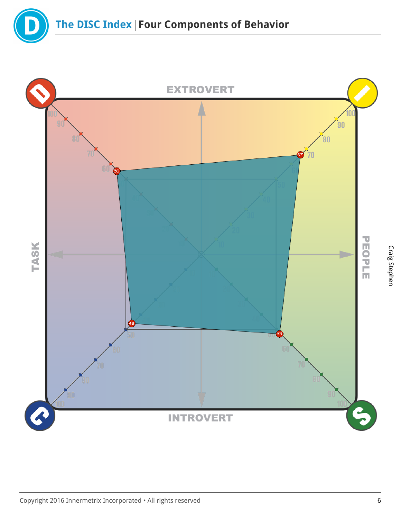

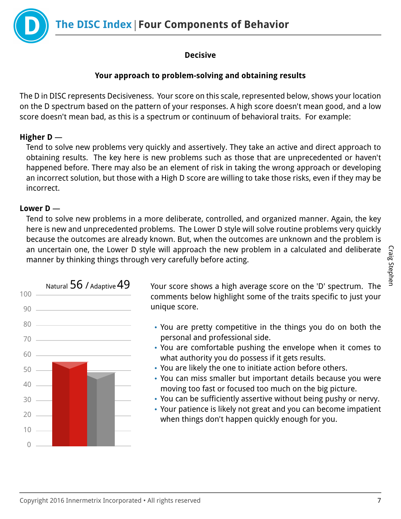**The DISC Index Four Components of Behavior**



## **Decisive**

## **Your approach to problem-solving and obtaining results**

The D in DISC represents Decisiveness. Your score on this scale, represented below, shows your location on the D spectrum based on the pattern of your responses. A high score doesn't mean good, and a low score doesn't mean bad, as this is a spectrum or continuum of behavioral traits. For example:

## **Higher D** —

Tend to solve new problems very quickly and assertively. They take an active and direct approach to obtaining results. The key here is new problems such as those that are unprecedented or haven't happened before. There may also be an element of risk in taking the wrong approach or developing an incorrect solution, but those with a High D score are willing to take those risks, even if they may be incorrect.

#### **Lower D** —

Tend to solve new problems in a more deliberate, controlled, and organized manner. Again, the key here is new and unprecedented problems. The Lower D style will solve routine problems very quickly because the outcomes are already known. But, when the outcomes are unknown and the problem is an uncertain one, the Lower D style will approach the new problem in a calculated and deliberate manner by thinking things through very carefully before acting.



Natural  $56$  / Adaptive  $49$  Your score shows a high average score on the 'D' spectrum. The comments below highlight some of the traits specific to just your unique score.

- You are pretty competitive in the things you do on both the personal and professional side.
- You are comfortable pushing the envelope when it comes to what authority you do possess if it gets results.
- You are likely the one to initiate action before others.
- You can miss smaller but important details because you were moving too fast or focused too much on the big picture.
- You can be sufficiently assertive without being pushy or nervy.
- Your patience is likely not great and you can become impatient when things don't happen quickly enough for you.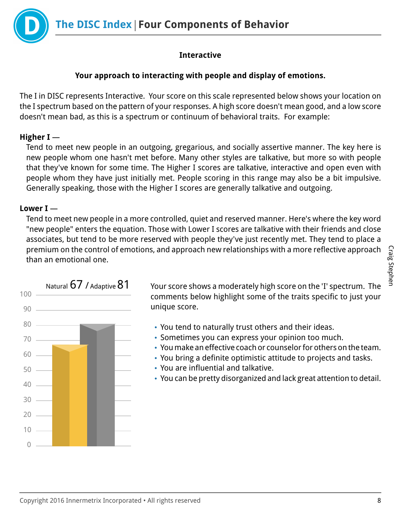

## **Interactive**

#### **Your approach to interacting with people and display of emotions.**

The I in DISC represents Interactive. Your score on this scale represented below shows your location on the I spectrum based on the pattern of your responses. A high score doesn't mean good, and a low score doesn't mean bad, as this is a spectrum or continuum of behavioral traits. For example:

#### **Higher I** —

Tend to meet new people in an outgoing, gregarious, and socially assertive manner. The key here is new people whom one hasn't met before. Many other styles are talkative, but more so with people that they've known for some time. The Higher I scores are talkative, interactive and open even with people whom they have just initially met. People scoring in this range may also be a bit impulsive. Generally speaking, those with the Higher I scores are generally talkative and outgoing.

## **Lower I** —

Tend to meet new people in a more controlled, quiet and reserved manner. Here's where the key word "new people" enters the equation. Those with Lower I scores are talkative with their friends and close associates, but tend to be more reserved with people they've just recently met. They tend to place a premium on the control of emotions, and approach new relationships with a more reflective approach than an emotional one.



Natural  $67$  / Adaptive  $81$  Your score shows a moderately high score on the 'I' spectrum. The comments below highlight some of the traits specific to just your unique score.

- You tend to naturally trust others and their ideas.
- Sometimes you can express your opinion too much.
- You make an effective coach or counselor for others on the team.
- You bring a definite optimistic attitude to projects and tasks.
- You are influential and talkative.
- You can be pretty disorganized and lack great attention to detail.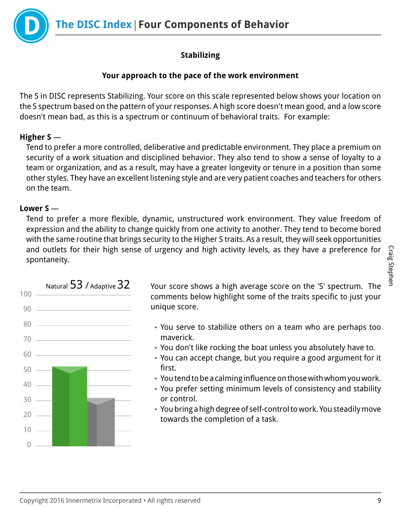**The DISC Index Four Components of Behavior**



## **Stabilizing**

## **Your approach to the pace of the work environment**

The S in DISC represents Stabilizing. Your score on this scale represented below shows your location on the S spectrum based on the pattern of your responses. A high score doesn't mean good, and a low score doesn't mean bad, as this is a spectrum or continuum of behavioral traits. For example:

## **Higher S** —

Tend to prefer a more controlled, deliberative and predictable environment. They place a premium on security of a work situation and disciplined behavior. They also tend to show a sense of loyalty to a team or organization, and as a result, may have a greater longevity or tenure in a position than some other styles. They have an excellent listening style and are very patient coaches and teachers for others on the team.

## **Lower S** —

Tend to prefer a more flexible, dynamic, unstructured work environment. They value freedom of expression and the ability to change quickly from one activity to another. They tend to become bored with the same routine that brings security to the Higher S traits. As a result, they will seek opportunities and outlets for their high sense of urgency and high activity levels, as they have a preference for spontaneity.



Natural  $53$  / Adaptive  $32$  Your score shows a high average score on the 'S' spectrum. The comments below highlight some of the traits specific to just your unique score.

- You serve to stabilize others on a team who are perhaps too maverick.
- You don't like rocking the boat unless you absolutely have to.
- You can accept change, but you require a good argument for it first.
- You tend to be a calming influence on those with whom you work.
- You prefer setting minimum levels of consistency and stability or control.
- You bring a high degree of self-control to work. You steadily move towards the completion of a task.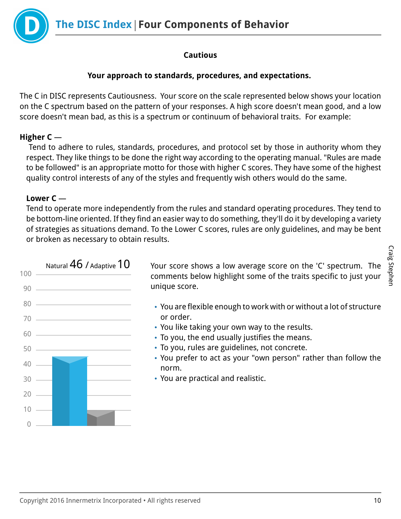

## **Cautious**

## **Your approach to standards, procedures, and expectations.**

The C in DISC represents Cautiousness. Your score on the scale represented below shows your location on the C spectrum based on the pattern of your responses. A high score doesn't mean good, and a low score doesn't mean bad, as this is a spectrum or continuum of behavioral traits. For example:

## **Higher C** —

 Tend to adhere to rules, standards, procedures, and protocol set by those in authority whom they respect. They like things to be done the right way according to the operating manual. "Rules are made to be followed" is an appropriate motto for those with higher C scores. They have some of the highest quality control interests of any of the styles and frequently wish others would do the same.

## **Lower C** —

Tend to operate more independently from the rules and standard operating procedures. They tend to be bottom-line oriented. If they find an easier way to do something, they'll do it by developing a variety of strategies as situations demand. To the Lower C scores, rules are only guidelines, and may be bent or broken as necessary to obtain results.



Natural  $46$  / Adaptive  $10$  Your score shows a low average score on the 'C' spectrum. The comments below highlight some of the traits specific to just your unique score.

- You are flexible enough to work with or without a lot of structure or order.
- You like taking your own way to the results.
- To you, the end usually justifies the means.
- To you, rules are guidelines, not concrete.
- You prefer to act as your "own person" rather than follow the norm.
- You are practical and realistic.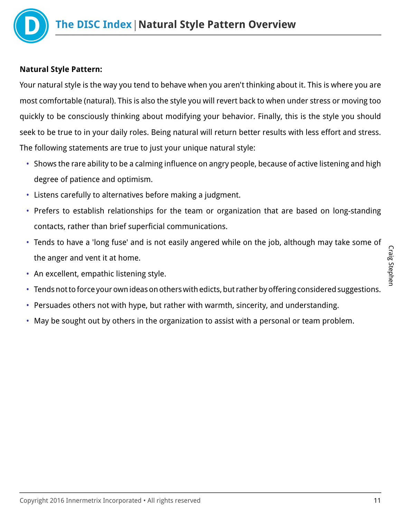

## **Natural Style Pattern:**

Your natural style is the way you tend to behave when you aren't thinking about it. This is where you are most comfortable (natural). This is also the style you will revert back to when under stress or moving too quickly to be consciously thinking about modifying your behavior. Finally, this is the style you should seek to be true to in your daily roles. Being natural will return better results with less effort and stress. The following statements are true to just your unique natural style:

- Shows the rare ability to be a calming influence on angry people, because of active listening and high degree of patience and optimism.
- Listens carefully to alternatives before making a judgment.
- Prefers to establish relationships for the team or organization that are based on long-standing contacts, rather than brief superficial communications.
- Tends to have a 'long fuse' and is not easily angered while on the job, although may take some of the anger and vent it at home.
- An excellent, empathic listening style.
- Tends not to force your own ideas on others with edicts, but rather by offering considered suggestions.
- Persuades others not with hype, but rather with warmth, sincerity, and understanding.
- May be sought out by others in the organization to assist with a personal or team problem.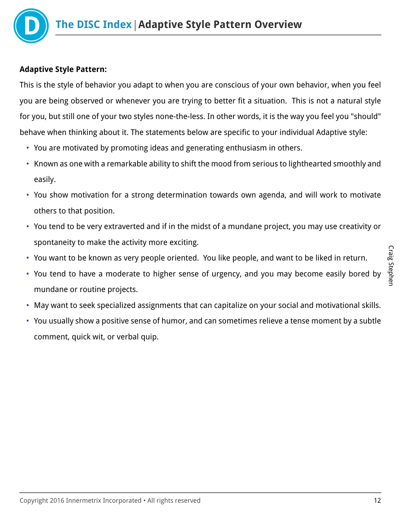

#### **Adaptive Style Pattern:**

This is the style of behavior you adapt to when you are conscious of your own behavior, when you feel you are being observed or whenever you are trying to better fit a situation. This is not a natural style for you, but still one of your two styles none-the-less. In other words, it is the way you feel you "should" behave when thinking about it. The statements below are specific to your individual Adaptive style:

- You are motivated by promoting ideas and generating enthusiasm in others.
- Known as one with a remarkable ability to shift the mood from serious to lighthearted smoothly and easily.
- You show motivation for a strong determination towards own agenda, and will work to motivate others to that position.
- You tend to be very extraverted and if in the midst of a mundane project, you may use creativity or spontaneity to make the activity more exciting.
- You want to be known as very people oriented. You like people, and want to be liked in return.
- You tend to have a moderate to higher sense of urgency, and you may become easily bored by mundane or routine projects.
- May want to seek specialized assignments that can capitalize on your social and motivational skills.
- You usually show a positive sense of humor, and can sometimes relieve a tense moment by a subtle comment, quick wit, or verbal quip.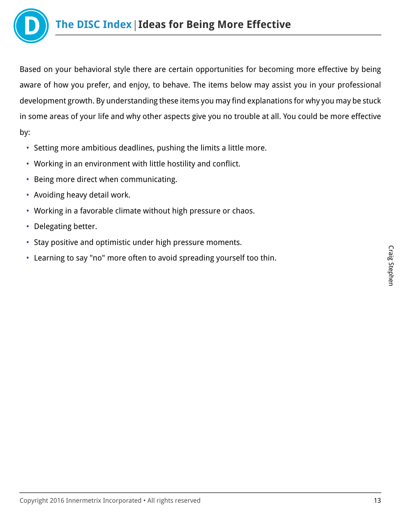

Based on your behavioral style there are certain opportunities for becoming more effective by being aware of how you prefer, and enjoy, to behave. The items below may assist you in your professional development growth. By understanding these items you may find explanations for why you may be stuck in some areas of your life and why other aspects give you no trouble at all. You could be more effective by:

- Setting more ambitious deadlines, pushing the limits a little more.
- Working in an environment with little hostility and conflict.
- Being more direct when communicating.
- Avoiding heavy detail work.
- Working in a favorable climate without high pressure or chaos.
- Delegating better.
- Stay positive and optimistic under high pressure moments.
- Learning to say "no" more often to avoid spreading yourself too thin.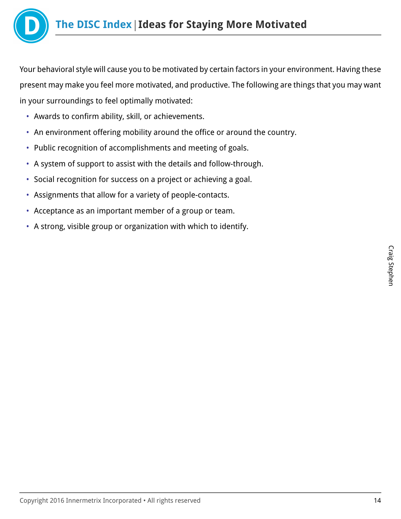

Your behavioral style will cause you to be motivated by certain factors in your environment. Having these present may make you feel more motivated, and productive. The following are things that you may want in your surroundings to feel optimally motivated:

- Awards to confirm ability, skill, or achievements.
- An environment offering mobility around the office or around the country.
- Public recognition of accomplishments and meeting of goals.
- A system of support to assist with the details and follow-through.
- Social recognition for success on a project or achieving a goal.
- Assignments that allow for a variety of people-contacts.
- Acceptance as an important member of a group or team.
- A strong, visible group or organization with which to identify.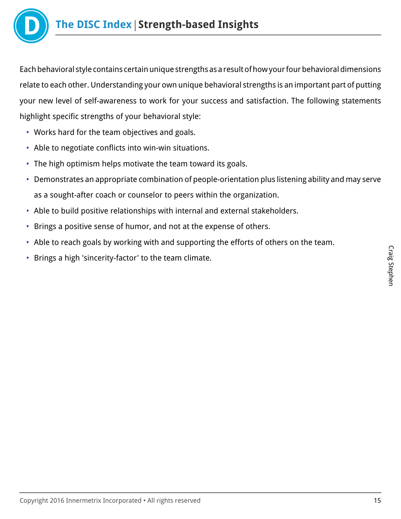

Each behavioral style contains certain unique strengths as a result of how your four behavioral dimensions relate to each other. Understanding your own unique behavioral strengths is an important part of putting your new level of self-awareness to work for your success and satisfaction. The following statements highlight specific strengths of your behavioral style:

- Works hard for the team objectives and goals.
- Able to negotiate conflicts into win-win situations.
- The high optimism helps motivate the team toward its goals.
- Demonstrates an appropriate combination of people-orientation plus listening ability and may serve as a sought-after coach or counselor to peers within the organization.
- Able to build positive relationships with internal and external stakeholders.
- Brings a positive sense of humor, and not at the expense of others.
- Able to reach goals by working with and supporting the efforts of others on the team.
- Brings a high 'sincerity-factor' to the team climate.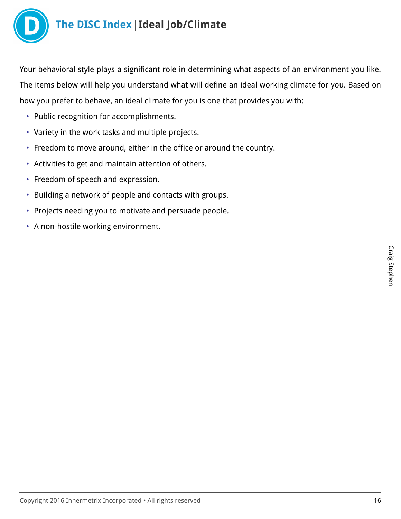

Your behavioral style plays a significant role in determining what aspects of an environment you like. The items below will help you understand what will define an ideal working climate for you. Based on how you prefer to behave, an ideal climate for you is one that provides you with:

- Public recognition for accomplishments.
- Variety in the work tasks and multiple projects.
- Freedom to move around, either in the office or around the country.
- Activities to get and maintain attention of others.
- Freedom of speech and expression.
- Building a network of people and contacts with groups.
- Projects needing you to motivate and persuade people.
- A non-hostile working environment.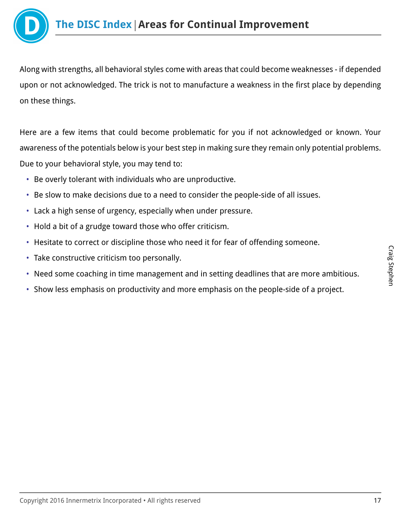

Along with strengths, all behavioral styles come with areas that could become weaknesses - if depended upon or not acknowledged. The trick is not to manufacture a weakness in the first place by depending on these things.

Here are a few items that could become problematic for you if not acknowledged or known. Your awareness of the potentials below is your best step in making sure they remain only potential problems. Due to your behavioral style, you may tend to:

- Be overly tolerant with individuals who are unproductive.
- Be slow to make decisions due to a need to consider the people-side of all issues.
- Lack a high sense of urgency, especially when under pressure.
- Hold a bit of a grudge toward those who offer criticism.
- Hesitate to correct or discipline those who need it for fear of offending someone.
- Take constructive criticism too personally.
- Need some coaching in time management and in setting deadlines that are more ambitious.
- Show less emphasis on productivity and more emphasis on the people-side of a project.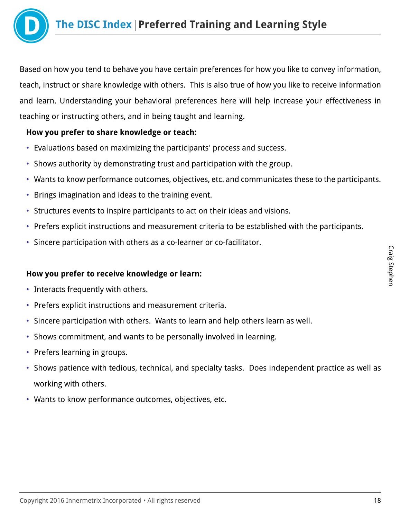

Based on how you tend to behave you have certain preferences for how you like to convey information, teach, instruct or share knowledge with others. This is also true of how you like to receive information and learn. Understanding your behavioral preferences here will help increase your effectiveness in teaching or instructing others, and in being taught and learning.

## **How you prefer to share knowledge or teach:**

- Evaluations based on maximizing the participants' process and success.
- Shows authority by demonstrating trust and participation with the group.
- Wants to know performance outcomes, objectives, etc. and communicates these to the participants.
- Brings imagination and ideas to the training event.
- Structures events to inspire participants to act on their ideas and visions.
- Prefers explicit instructions and measurement criteria to be established with the participants.
- Sincere participation with others as a co-learner or co-facilitator.

#### **How you prefer to receive knowledge or learn:**

- Interacts frequently with others.
- Prefers explicit instructions and measurement criteria.
- Sincere participation with others. Wants to learn and help others learn as well.
- Shows commitment, and wants to be personally involved in learning.
- Prefers learning in groups.
- Shows patience with tedious, technical, and specialty tasks. Does independent practice as well as working with others.
- Wants to know performance outcomes, objectives, etc.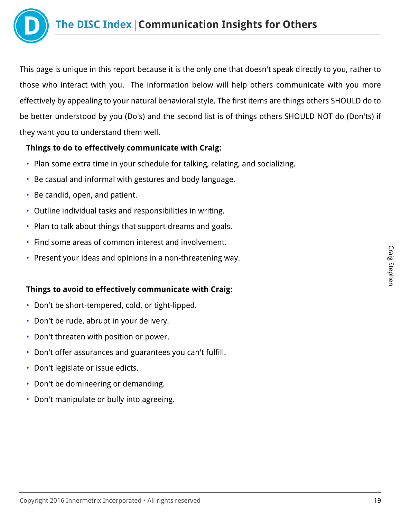

This page is unique in this report because it is the only one that doesn't speak directly to you, rather to those who interact with you. The information below will help others communicate with you more effectively by appealing to your natural behavioral style. The first items are things others SHOULD do to be better understood by you (Do's) and the second list is of things others SHOULD NOT do (Don'ts) if they want you to understand them well.

## **Things to do to effectively communicate with Craig:**

- Plan some extra time in your schedule for talking, relating, and socializing.
- Be casual and informal with gestures and body language.
- Be candid, open, and patient.
- Outline individual tasks and responsibilities in writing.
- Plan to talk about things that support dreams and goals.
- Find some areas of common interest and involvement.
- Present your ideas and opinions in a non-threatening way.

## **Things to avoid to effectively communicate with Craig:**

- Don't be short-tempered, cold, or tight-lipped.
- Don't be rude, abrupt in your delivery.
- Don't threaten with position or power.
- Don't offer assurances and guarantees you can't fulfill.
- Don't legislate or issue edicts.
- Don't be domineering or demanding.
- Don't manipulate or bully into agreeing.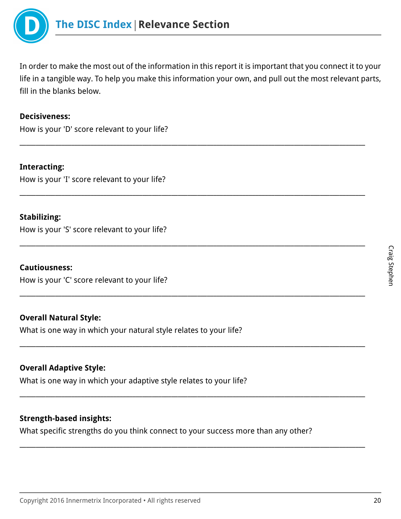

In order to make the most out of the information in this report it is important that you connect it to your life in a tangible way. To help you make this information your own, and pull out the most relevant parts, fill in the blanks below.

\_\_\_\_\_\_\_\_\_\_\_\_\_\_\_\_\_\_\_\_\_\_\_\_\_\_\_\_\_\_\_\_\_\_\_\_\_\_\_\_\_\_\_\_\_\_\_\_\_\_\_\_\_\_\_\_\_\_\_\_\_\_\_\_\_\_\_\_\_\_\_\_\_\_\_\_\_\_\_\_\_\_\_\_\_\_\_\_\_\_\_\_\_\_\_\_\_\_\_\_\_\_\_\_\_\_\_

\_\_\_\_\_\_\_\_\_\_\_\_\_\_\_\_\_\_\_\_\_\_\_\_\_\_\_\_\_\_\_\_\_\_\_\_\_\_\_\_\_\_\_\_\_\_\_\_\_\_\_\_\_\_\_\_\_\_\_\_\_\_\_\_\_\_\_\_\_\_\_\_\_\_\_\_\_\_\_\_\_\_\_\_\_\_\_\_\_\_\_\_\_\_\_\_\_\_\_\_\_\_\_\_\_\_\_

\_\_\_\_\_\_\_\_\_\_\_\_\_\_\_\_\_\_\_\_\_\_\_\_\_\_\_\_\_\_\_\_\_\_\_\_\_\_\_\_\_\_\_\_\_\_\_\_\_\_\_\_\_\_\_\_\_\_\_\_\_\_\_\_\_\_\_\_\_\_\_\_\_\_\_\_\_\_\_\_\_\_\_\_\_\_\_\_\_\_\_\_\_\_\_\_\_\_\_\_\_\_\_\_\_\_\_

\_\_\_\_\_\_\_\_\_\_\_\_\_\_\_\_\_\_\_\_\_\_\_\_\_\_\_\_\_\_\_\_\_\_\_\_\_\_\_\_\_\_\_\_\_\_\_\_\_\_\_\_\_\_\_\_\_\_\_\_\_\_\_\_\_\_\_\_\_\_\_\_\_\_\_\_\_\_\_\_\_\_\_\_\_\_\_\_\_\_\_\_\_\_\_\_\_\_\_\_\_\_\_\_\_\_\_

\_\_\_\_\_\_\_\_\_\_\_\_\_\_\_\_\_\_\_\_\_\_\_\_\_\_\_\_\_\_\_\_\_\_\_\_\_\_\_\_\_\_\_\_\_\_\_\_\_\_\_\_\_\_\_\_\_\_\_\_\_\_\_\_\_\_\_\_\_\_\_\_\_\_\_\_\_\_\_\_\_\_\_\_\_\_\_\_\_\_\_\_\_\_\_\_\_\_\_\_\_\_\_\_\_\_\_

\_\_\_\_\_\_\_\_\_\_\_\_\_\_\_\_\_\_\_\_\_\_\_\_\_\_\_\_\_\_\_\_\_\_\_\_\_\_\_\_\_\_\_\_\_\_\_\_\_\_\_\_\_\_\_\_\_\_\_\_\_\_\_\_\_\_\_\_\_\_\_\_\_\_\_\_\_\_\_\_\_\_\_\_\_\_\_\_\_\_\_\_\_\_\_\_\_\_\_\_\_\_\_\_\_\_\_

\_\_\_\_\_\_\_\_\_\_\_\_\_\_\_\_\_\_\_\_\_\_\_\_\_\_\_\_\_\_\_\_\_\_\_\_\_\_\_\_\_\_\_\_\_\_\_\_\_\_\_\_\_\_\_\_\_\_\_\_\_\_\_\_\_\_\_\_\_\_\_\_\_\_\_\_\_\_\_\_\_\_\_\_\_\_\_\_\_\_\_\_\_\_\_\_\_\_\_\_\_\_\_\_\_\_\_

#### **Decisiveness:**

How is your 'D' score relevant to your life?

**Interacting:** How is your 'I' score relevant to your life?

#### **Stabilizing:**

How is your 'S' score relevant to your life?

#### **Cautiousness:**

How is your 'C' score relevant to your life?

#### **Overall Natural Style:**

What is one way in which your natural style relates to your life?

#### **Overall Adaptive Style:**

What is one way in which your adaptive style relates to your life?

#### **Strength-based insights:**

What specific strengths do you think connect to your success more than any other?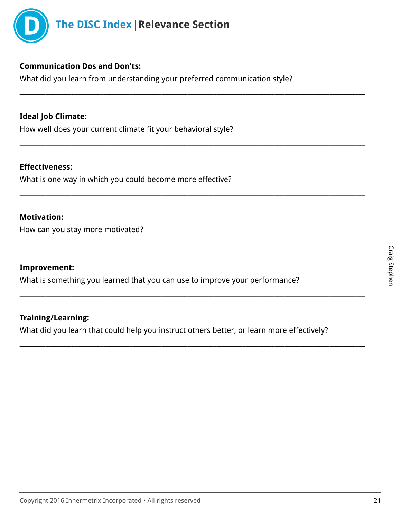

## **Communication Dos and Don'ts:**

What did you learn from understanding your preferred communication style?

\_\_\_\_\_\_\_\_\_\_\_\_\_\_\_\_\_\_\_\_\_\_\_\_\_\_\_\_\_\_\_\_\_\_\_\_\_\_\_\_\_\_\_\_\_\_\_\_\_\_\_\_\_\_\_\_\_\_\_\_\_\_\_\_\_\_\_\_\_\_\_\_\_\_\_\_\_\_\_\_\_\_\_\_\_\_\_\_\_\_\_\_\_\_\_\_\_\_\_\_\_\_\_\_\_\_\_

\_\_\_\_\_\_\_\_\_\_\_\_\_\_\_\_\_\_\_\_\_\_\_\_\_\_\_\_\_\_\_\_\_\_\_\_\_\_\_\_\_\_\_\_\_\_\_\_\_\_\_\_\_\_\_\_\_\_\_\_\_\_\_\_\_\_\_\_\_\_\_\_\_\_\_\_\_\_\_\_\_\_\_\_\_\_\_\_\_\_\_\_\_\_\_\_\_\_\_\_\_\_\_\_\_\_\_

\_\_\_\_\_\_\_\_\_\_\_\_\_\_\_\_\_\_\_\_\_\_\_\_\_\_\_\_\_\_\_\_\_\_\_\_\_\_\_\_\_\_\_\_\_\_\_\_\_\_\_\_\_\_\_\_\_\_\_\_\_\_\_\_\_\_\_\_\_\_\_\_\_\_\_\_\_\_\_\_\_\_\_\_\_\_\_\_\_\_\_\_\_\_\_\_\_\_\_\_\_\_\_\_\_\_\_

\_\_\_\_\_\_\_\_\_\_\_\_\_\_\_\_\_\_\_\_\_\_\_\_\_\_\_\_\_\_\_\_\_\_\_\_\_\_\_\_\_\_\_\_\_\_\_\_\_\_\_\_\_\_\_\_\_\_\_\_\_\_\_\_\_\_\_\_\_\_\_\_\_\_\_\_\_\_\_\_\_\_\_\_\_\_\_\_\_\_\_\_\_\_\_\_\_\_\_\_\_\_\_\_\_\_\_

\_\_\_\_\_\_\_\_\_\_\_\_\_\_\_\_\_\_\_\_\_\_\_\_\_\_\_\_\_\_\_\_\_\_\_\_\_\_\_\_\_\_\_\_\_\_\_\_\_\_\_\_\_\_\_\_\_\_\_\_\_\_\_\_\_\_\_\_\_\_\_\_\_\_\_\_\_\_\_\_\_\_\_\_\_\_\_\_\_\_\_\_\_\_\_\_\_\_\_\_\_\_\_\_\_\_\_

\_\_\_\_\_\_\_\_\_\_\_\_\_\_\_\_\_\_\_\_\_\_\_\_\_\_\_\_\_\_\_\_\_\_\_\_\_\_\_\_\_\_\_\_\_\_\_\_\_\_\_\_\_\_\_\_\_\_\_\_\_\_\_\_\_\_\_\_\_\_\_\_\_\_\_\_\_\_\_\_\_\_\_\_\_\_\_\_\_\_\_\_\_\_\_\_\_\_\_\_\_\_\_\_\_\_\_

## **Ideal Job Climate:**

How well does your current climate fit your behavioral style?

#### **Effectiveness:**

What is one way in which you could become more effective?

#### **Motivation:**

How can you stay more motivated?

#### **Improvement:**

What is something you learned that you can use to improve your performance?

#### **Training/Learning:**

What did you learn that could help you instruct others better, or learn more effectively?